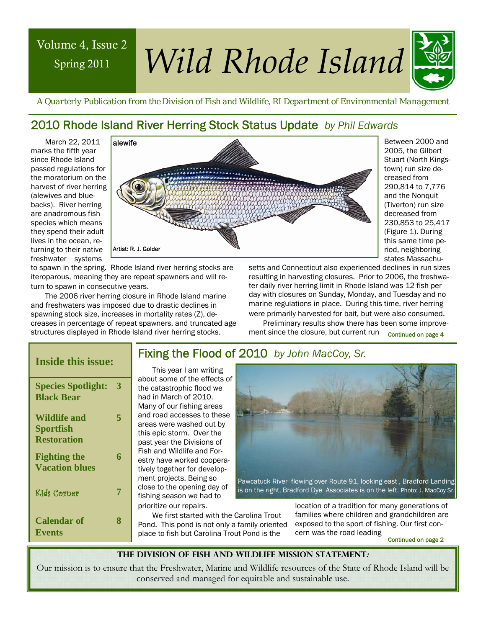# Spring 2011

# Volume 4, Issue 2 *Wild Rhode Island*



 *A Quarterly Publication from the Division of Fish and Wildlife, RI Department of Environmental Management* 

# 2010 Rhode Island River Herring Stock Status Update *by Phil Edwards*

March 22, 2011 marks the fifth year since Rhode Island passed regulations for the moratorium on the harvest of river herring (alewives and bluebacks). River herring are anadromous fish species which means they spend their adult lives in the ocean, returning to their native freshwater systems



Between 2000 and 2005, the Gilbert Stuart (North Kingstown) run size decreased from 290,814 to 7,776 and the Nonquit (Tiverton) run size decreased from 230,853 to 25,417 (Figure 1). During this same time period, neighboring states Massachu-

to spawn in the spring. Rhode Island river herring stocks are iteroparous, meaning they are repeat spawners and will return to spawn in consecutive years.

The 2006 river herring closure in Rhode Island marine and freshwaters was imposed due to drastic declines in spawning stock size, increases in mortality rates (Z), decreases in percentage of repeat spawners, and truncated age structures displayed in Rhode Island river herring stocks.

setts and Connecticut also experienced declines in run sizes resulting in harvesting closures. Prior to 2006, the freshwater daily river herring limit in Rhode Island was 12 fish per day with closures on Sunday, Monday, and Tuesday and no marine regulations in place. During this time, river herring were primarily harvested for bait, but were also consumed.

Preliminary results show there has been some improvement since the closure, but current run Continued on page 4

### **Inside this issue:**

| <b>Species Spotlight:</b><br><b>Black Bear</b>                | 3 |
|---------------------------------------------------------------|---|
| <b>Wildlife and</b><br><b>Sportfish</b><br><b>Restoration</b> | 5 |
| <b>Fighting the</b><br><b>Vacation blues</b>                  | 6 |
| Kids Corper                                                   | 7 |
| <b>Calendar of</b><br><b>Events</b>                           | 8 |

This year I am writing about some of the effects of the catastrophic flood we had in March of 2010. Many of our fishing areas and road accesses to these areas were washed out by this epic storm. Over the past year the Divisions of Fish and Wildlife and Forestry have worked cooperatively together for development projects. Being so close to the opening day of fishing season we had to prioritize our repairs.



We first started with the Carolina Trout Pond. This pond is not only a family oriented place to fish but Carolina Trout Pond is the

location of a tradition for many generations of families where children and grandchildren are exposed to the sport of fishing. Our first concern was the road leading

Continued on page 2

#### **The Division of Fish and Wildlife Mission Statement:**

Our mission is to ensure that the Freshwater, Marine and Wildlife resources of the State of Rhode Island will be conserved and managed for equitable and sustainable use.

# Fixing the Flood of 2010 *by John MacCoy, Sr.*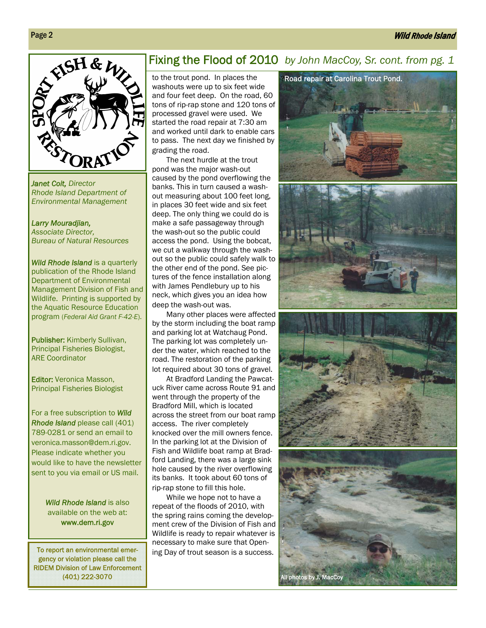#### Wild Rhode Island



*Janet Coit, Director Rhode Island Department of Environmental Management* 

*Larry Mouradjian, Associate Director, Bureau of Natural Resources* 

*Wild Rhode Island* is a quarterly publication of the Rhode Island Department of Environmental Management Division of Fish and Wildlife. Printing is supported by the Aquatic Resource Education program (*Federal Aid Grant F-42-E*).

Publisher: Kimberly Sullivan, Principal Fisheries Biologist, ARE Coordinator

Editor: Veronica Masson, **Luttof:** verbritta Masson,<br>Principal Fisheries Biologist

For a free subscription to *Wild Rhode Island* please call (401) 789-0281 or send an email to veronica.masson@dem.ri.gov. Please indicate whether you would like to have the newsletter sent to you via email or US mail.

> *Wild Rhode Island* is also available on the web at: www.dem.ri.gov

To report an environmental emergency or violation please call the RIDEM Division of Law Enforcement (401) 222-3070

# Fixing the Flood of 2010 *by John MacCoy, Sr. cont. from pg. 1*

to the trout pond. In places the washouts were up to six feet wide and four feet deep. On the road, 60 tons of rip-rap stone and 120 tons of processed gravel were used. We started the road repair at 7:30 am and worked until dark to enable cars to pass. The next day we finished by grading the road.

The next hurdle at the trout pond was the major wash-out caused by the pond overflowing the banks. This in turn caused a washout measuring about 100 feet long, in places 30 feet wide and six feet deep. The only thing we could do is make a safe passageway through the wash-out so the public could access the pond. Using the bobcat, we cut a walkway through the washout so the public could safely walk to the other end of the pond. See pictures of the fence installation along with James Pendlebury up to his neck, which gives you an idea how deep the wash-out was.

Many other places were affected by the storm including the boat ramp and parking lot at Watchaug Pond. The parking lot was completely under the water, which reached to the road. The restoration of the parking lot required about 30 tons of gravel.

At Bradford Landing the Pawcatuck River came across Route 91 and went through the property of the Bradford Mill, which is located across the street from our boat ramp access. The river completely knocked over the mill owners fence. In the parking lot at the Division of Fish and Wildlife boat ramp at Bradford Landing, there was a large sink hole caused by the river overflowing its banks. It took about 60 tons of rip-rap stone to fill this hole.

While we hope not to have a repeat of the floods of 2010, with the spring rains coming the development crew of the Division of Fish and Wildlife is ready to repair whatever is necessary to make sure that Opening Day of trout season is a success.

All photos by J. MacCoy



Page 2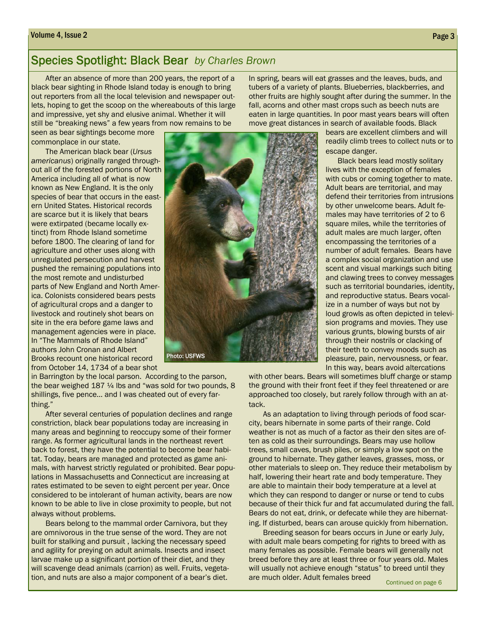#### Volume 4, Issue 2 Page 3

## Species Spotlight: Black Bear *by Charles Brown*

After an absence of more than 200 years, the report of a black bear sighting in Rhode Island today is enough to bring out reporters from all the local television and newspaper outlets, hoping to get the scoop on the whereabouts of this large and impressive, yet shy and elusive animal. Whether it will still be "breaking news" a few years from now remains to be

seen as bear sightings become more commonplace in our state.

The American black bear (*Ursus americanus*) originally ranged throughout all of the forested portions of North America including all of what is now known as New England. It is the only species of bear that occurs in the eastern United States. Historical records are scarce but it is likely that bears were extirpated (became locally extinct) from Rhode Island sometime before 1800. The clearing of land for agriculture and other uses along with unregulated persecution and harvest pushed the remaining populations into the most remote and undisturbed parts of New England and North America. Colonists considered bears pests of agricultural crops and a danger to livestock and routinely shot bears on site in the era before game laws and management agencies were in place. In "The Mammals of Rhode Island" authors John Cronan and Albert Brooks recount one historical record from October 14, 1734 of a bear shot



in Barrington by the local parson. According to the parson, the bear weighed 187 1/4 lbs and "was sold for two pounds, 8 shillings, five pence… and I was cheated out of every farthing."

After several centuries of population declines and range constriction, black bear populations today are increasing in many areas and beginning to reoccupy some of their former range. As former agricultural lands in the northeast revert back to forest, they have the potential to become bear habitat. Today, bears are managed and protected as game animals, with harvest strictly regulated or prohibited. Bear populations in Massachusetts and Connecticut are increasing at rates estimated to be seven to eight percent per year. Once considered to be intolerant of human activity, bears are now known to be able to live in close proximity to people, but not always without problems.

Bears belong to the mammal order Carnivora, but they are omnivorous in the true sense of the word. They are not built for stalking and pursuit , lacking the necessary speed and agility for preying on adult animals. Insects and insect larvae make up a significant portion of their diet, and they will scavenge dead animals (carrion) as well. Fruits, vegetation, and nuts are also a major component of a bear's diet.

In spring, bears will eat grasses and the leaves, buds, and tubers of a variety of plants. Blueberries, blackberries, and other fruits are highly sought after during the summer. In the fall, acorns and other mast crops such as beech nuts are eaten in large quantities. In poor mast years bears will often move great distances in search of available foods. Black

> bears are excellent climbers and will readily climb trees to collect nuts or to escape danger.

> Black bears lead mostly solitary lives with the exception of females with cubs or coming together to mate. Adult bears are territorial, and may defend their territories from intrusions by other unwelcome bears. Adult females may have territories of 2 to 6 square miles, while the territories of adult males are much larger, often encompassing the territories of a number of adult females. Bears have a complex social organization and use scent and visual markings such biting and clawing trees to convey messages such as territorial boundaries, identity, and reproductive status. Bears vocalize in a number of ways but not by loud growls as often depicted in television programs and movies. They use various grunts, blowing bursts of air through their nostrils or clacking of their teeth to convey moods such as pleasure, pain, nervousness, or fear. In this way, bears avoid altercations

with other bears. Bears will sometimes bluff charge or stamp the ground with their front feet if they feel threatened or are approached too closely, but rarely follow through with an attack.

As an adaptation to living through periods of food scarcity, bears hibernate in some parts of their range. Cold weather is not as much of a factor as their den sites are often as cold as their surroundings. Bears may use hollow trees, small caves, brush piles, or simply a low spot on the ground to hibernate. They gather leaves, grasses, moss, or other materials to sleep on. They reduce their metabolism by half, lowering their heart rate and body temperature. They are able to maintain their body temperature at a level at which they can respond to danger or nurse or tend to cubs because of their thick fur and fat accumulated during the fall. Bears do not eat, drink, or defecate while they are hibernating. If disturbed, bears can arouse quickly from hibernation.

Breeding season for bears occurs in June or early July, with adult male bears competing for rights to breed with as many females as possible. Female bears will generally not breed before they are at least three or four years old. Males will usually not achieve enough "status" to breed until they are much older. Adult females breed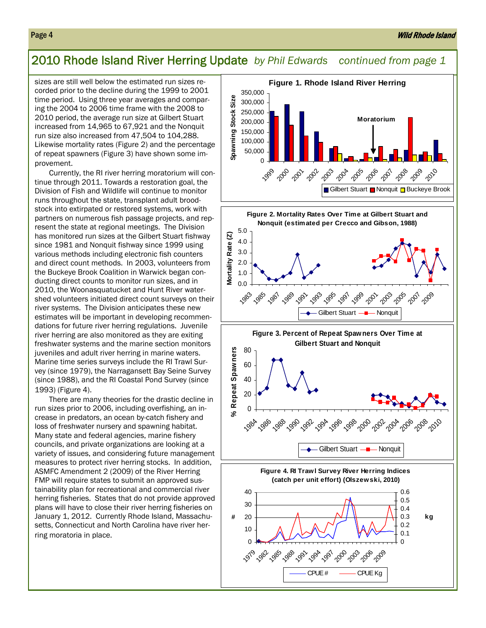# 2010 Rhode Island River Herring Update *by Phil Edwards continued from page 1*

sizes are still well below the estimated run sizes recorded prior to the decline during the 1999 to 2001 time period. Using three year averages and comparing the 2004 to 2006 time frame with the 2008 to 2010 period, the average run size at Gilbert Stuart increased from 14,965 to 67,921 and the Nonquit run size also increased from 47,504 to 104,288. Likewise mortality rates (Figure 2) and the percentage of repeat spawners (Figure 3) have shown some improvement.

Currently, the RI river herring moratorium will continue through 2011. Towards a restoration goal, the Division of Fish and Wildlife will continue to monitor runs throughout the state, transplant adult broodstock into extirpated or restored systems, work with partners on numerous fish passage projects, and represent the state at regional meetings. The Division has monitored run sizes at the Gilbert Stuart fishway since 1981 and Nonquit fishway since 1999 using various methods including electronic fish counters and direct count methods. In 2003, volunteers from the Buckeye Brook Coalition in Warwick began conducting direct counts to monitor run sizes, and in 2010, the Woonasquatucket and Hunt River watershed volunteers initiated direct count surveys on their river systems. The Division anticipates these new estimates will be important in developing recommendations for future river herring regulations. Juvenile river herring are also monitored as they are exiting freshwater systems and the marine section monitors juveniles and adult river herring in marine waters. Marine time series surveys include the RI Trawl Survey (since 1979), the Narragansett Bay Seine Survey (since 1988), and the RI Coastal Pond Survey (since 1993) (Figure 4).

There are many theories for the drastic decline in run sizes prior to 2006, including overfishing, an increase in predators, an ocean by-catch fishery and loss of freshwater nursery and spawning habitat. Many state and federal agencies, marine fishery councils, and private organizations are looking at a variety of issues, and considering future management measures to protect river herring stocks. In addition, ASMFC Amendment 2 (2009) of the River Herring FMP will require states to submit an approved sustainability plan for recreational and commercial river herring fisheries. States that do not provide approved plans will have to close their river herring fisheries on January 1, 2012. Currently Rhode Island, Massachusetts, Connecticut and North Carolina have river herring moratoria in place.

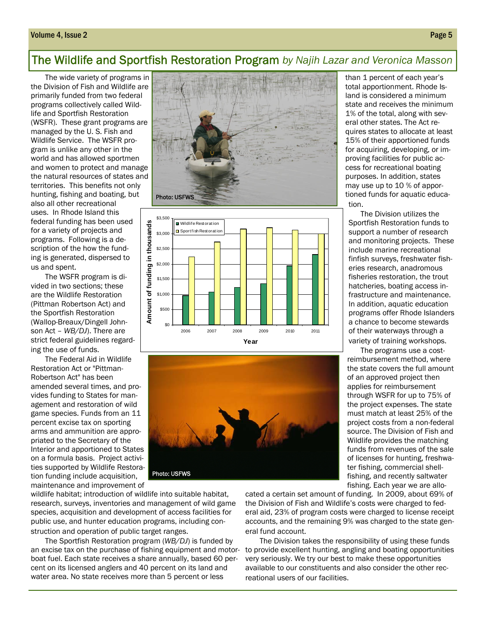#### Volume 4, Issue 2 Page 5

# The Wildlife and Sportfish Restoration Program *by Najih Lazar and Veronica Masson*

The wide variety of programs in the Division of Fish and Wildlife are primarily funded from two federal programs collectively called Wildlife and Sportfish Restoration (WSFR). These grant programs are managed by the U. S. Fish and Wildlife Service. The WSFR program is unlike any other in the world and has allowed sportmen and women to protect and manage the natural resources of states and territories. This benefits not only hunting, fishing and boating, but also all other recreational uses. In Rhode Island this federal funding has been used for a variety of projects and programs. Following is a description of the how the funding is generated, dispersed to us and spent.

The WSFR program is divided in two sections; these are the Wildlife Restoration (Pittman Robertson Act) and the Sportfish Restoration (Wallop-Breaux/Dingell Johnson Act – *WB/DJ*). There are strict federal guidelines regarding the use of funds.

The Federal Aid in Wildlife Restoration Act or "Pittman-Robertson Act" has been amended several times, and provides funding to States for management and restoration of wild game species. Funds from an 11 percent excise tax on sporting arms and ammunition are appropriated to the Secretary of the Interior and apportioned to States on a formula basis. Project activities supported by Wildlife Restoration funding include acquisition, maintenance and improvement of







wildlife habitat; introduction of wildlife into suitable habitat, research, surveys, inventories and management of wild game species, acquisition and development of access facilities for public use, and hunter education programs, including construction and operation of public target ranges.

The Sportfish Restoration program (*WB/DJ*) is funded by an excise tax on the purchase of fishing equipment and motorboat fuel. Each state receives a share annually, based 60 percent on its licensed anglers and 40 percent on its land and water area. No state receives more than 5 percent or less

cated a certain set amount of funding. In 2009, about 69% of the Division of Fish and Wildlife's costs were charged to federal aid, 23% of program costs were charged to license receipt accounts, and the remaining 9% was charged to the state general fund account.

The Division takes the responsibility of using these funds to provide excellent hunting, angling and boating opportunities very seriously. We try our best to make these opportunities available to our constituents and also consider the other recreational users of our facilities.

than 1 percent of each year's total apportionment. Rhode Island is considered a minimum state and receives the minimum 1% of the total, along with several other states. The Act requires states to allocate at least 15% of their apportioned funds for acquiring, developing, or improving facilities for public access for recreational boating purposes. In addition, states may use up to 10 % of apportioned funds for aquatic education.

 The Division utilizes the Sportfish Restoration funds to support a number of research and monitoring projects. These include marine recreational finfish surveys, freshwater fisheries research, anadromous fisheries restoration, the trout hatcheries, boating access infrastructure and maintenance. In addition, aquatic education programs offer Rhode Islanders a chance to become stewards of their waterways through a variety of training workshops.

 The programs use a costreimbursement method, where the state covers the full amount of an approved project then applies for reimbursement through WSFR for up to 75% of the project expenses. The state must match at least 25% of the project costs from a non-federal source. The Division of Fish and Wildlife provides the matching funds from revenues of the sale of licenses for hunting, freshwater fishing, commercial shellfishing, and recently saltwater fishing. Each year we are allo-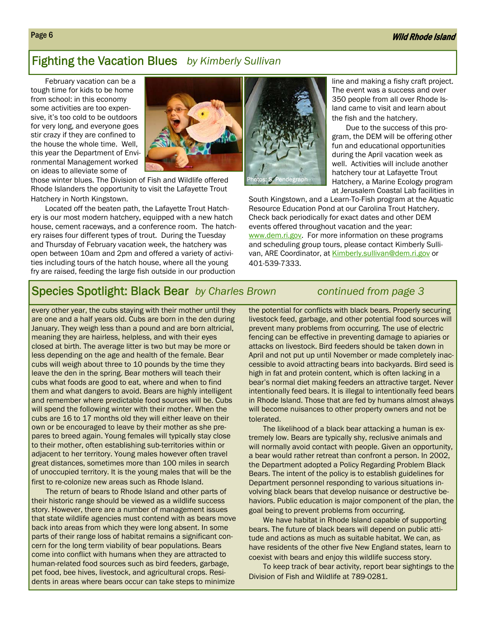# Fighting the Vacation Blues *by Kimberly Sullivan*

February vacation can be a tough time for kids to be home from school: in this economy some activities are too expensive, it's too cold to be outdoors for very long, and everyone goes stir crazy if they are confined to the house the whole time. Well, this year the Department of Environmental Management worked on ideas to alleviate some of



those winter blues. The Division of Fish and Wildlife offered Rhode Islanders the opportunity to visit the Lafayette Trout Hatchery in North Kingstown.

Located off the beaten path, the Lafayette Trout Hatchery is our most modern hatchery, equipped with a new hatch house, cement raceways, and a conference room. The hatchery raises four different types of trout. During the Tuesday and Thursday of February vacation week, the hatchery was open between 10am and 2pm and offered a variety of activities including tours of the hatch house, where all the young fry are raised, feeding the large fish outside in our production



line and making a fishy craft project. The event was a success and over 350 people from all over Rhode Island came to visit and learn about the fish and the hatchery.

 Due to the success of this program, the DEM will be offering other fun and educational opportunities during the April vacation week as well. Activities will include another hatchery tour at Lafayette Trout Hatchery, a Marine Ecology program at Jerusalem Coastal Lab facilities in

South Kingstown, and a Learn-To-Fish program at the Aquatic Resource Education Pond at our Carolina Trout Hatchery. Check back periodically for exact dates and other DEM events offered throughout vacation and the year: www.dem.ri.gov. For more information on these programs and scheduling group tours, please contact Kimberly Sullivan, ARE Coordinator, at Kimberly.sullivan@dem.ri.gov or 401-539-7333.

# Species Spotlight: Black Bear *by Charles Brown continued from page 3*

every other year, the cubs staying with their mother until they are one and a half years old. Cubs are born in the den during January. They weigh less than a pound and are born altricial, meaning they are hairless, helpless, and with their eyes closed at birth. The average litter is two but may be more or less depending on the age and health of the female. Bear cubs will weigh about three to 10 pounds by the time they leave the den in the spring. Bear mothers will teach their cubs what foods are good to eat, where and when to find them and what dangers to avoid. Bears are highly intelligent and remember where predictable food sources will be. Cubs will spend the following winter with their mother. When the cubs are 16 to 17 months old they will either leave on their own or be encouraged to leave by their mother as she prepares to breed again. Young females will typically stay close to their mother, often establishing sub-territories within or adjacent to her territory. Young males however often travel great distances, sometimes more than 100 miles in search of unoccupied territory. It is the young males that will be the first to re-colonize new areas such as Rhode Island.

The return of bears to Rhode Island and other parts of their historic range should be viewed as a wildlife success story. However, there are a number of management issues that state wildlife agencies must contend with as bears move back into areas from which they were long absent. In some parts of their range loss of habitat remains a significant concern for the long term viability of bear populations. Bears come into conflict with humans when they are attracted to human-related food sources such as bird feeders, garbage, pet food, bee hives, livestock, and agricultural crops. Residents in areas where bears occur can take steps to minimize

the potential for conflicts with black bears. Properly securing livestock feed, garbage, and other potential food sources will prevent many problems from occurring. The use of electric fencing can be effective in preventing damage to apiaries or attacks on livestock. Bird feeders should be taken down in April and not put up until November or made completely inaccessible to avoid attracting bears into backyards. Bird seed is high in fat and protein content, which is often lacking in a bear's normal diet making feeders an attractive target. Never intentionally feed bears. It is illegal to intentionally feed bears in Rhode Island. Those that are fed by humans almost always will become nuisances to other property owners and not be tolerated.

The likelihood of a black bear attacking a human is extremely low. Bears are typically shy, reclusive animals and will normally avoid contact with people. Given an opportunity, a bear would rather retreat than confront a person. In 2002, the Department adopted a Policy Regarding Problem Black Bears. The intent of the policy is to establish guidelines for Department personnel responding to various situations involving black bears that develop nuisance or destructive behaviors. Public education is major component of the plan, the goal being to prevent problems from occurring.

We have habitat in Rhode Island capable of supporting bears. The future of black bears will depend on public attitude and actions as much as suitable habitat. We can, as have residents of the other five New England states, learn to coexist with bears and enjoy this wildlife success story.

To keep track of bear activity, report bear sightings to the Division of Fish and Wildlife at 789-0281.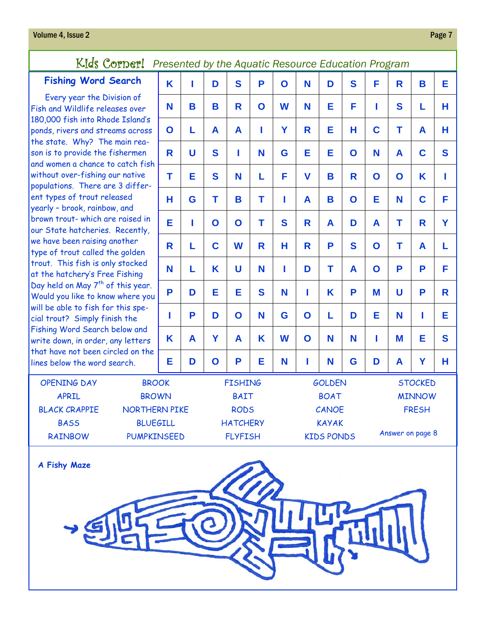# Kids Corner! *Presented by the Aquatic Resource Education Program*

# **Fishing Word**

Every year the Fish and Wildlife re  $180,000$  fish into R ponds, rivers and st the state. Why? T son is to provide the and women a chance without over-fishing populations. There ent types of trout r yearly - brook, rainb brown trout- which our State hatcherie we have been raising type of trout called trout. This fish is a at the hatchery's Fi Day held on May 7<sup>th</sup> Would you like to kn will be able to fish t cial trout? Simply f Fishing Word Searc write down, in order that have not been lines below the word

| l Search<br>Division of<br>leases over<br>hode Island's<br>reams across<br>he main rea-<br>e fishermen<br>to catch fish<br>g our native<br>are 3 differ-<br>released<br>bow, and<br>are raised in<br>es. Recently,<br>g another<br>the golden<br>only stocked<br>ree Fishing<br>of this year.<br><b>now where you</b><br>for this spe-<br><b>Finish the</b><br>h below and<br>, any letters<br>circled on the<br>d search. | K           | ı               | D           | S           | P                 | $\mathbf O$  | N           | D                | S            | F           | R | B           | Е |
|----------------------------------------------------------------------------------------------------------------------------------------------------------------------------------------------------------------------------------------------------------------------------------------------------------------------------------------------------------------------------------------------------------------------------|-------------|-----------------|-------------|-------------|-------------------|--------------|-------------|------------------|--------------|-------------|---|-------------|---|
|                                                                                                                                                                                                                                                                                                                                                                                                                            | N           | B               | B           | R           | $\mathbf O$       | W            | N           | Е                | F            | ı           | S | L           | н |
|                                                                                                                                                                                                                                                                                                                                                                                                                            | $\mathbf O$ | L               | A           | A           | I                 | Y            | R           | Е                | н            | C           | T | A           | н |
|                                                                                                                                                                                                                                                                                                                                                                                                                            | R           | U               | S           | I           | N                 | G            | E           | Е                | $\mathbf O$  | N           | A | $\mathbf C$ | S |
|                                                                                                                                                                                                                                                                                                                                                                                                                            | T           | Е               | S           | N           | L                 | F            | $\mathbf v$ | B                | R            | $\mathbf O$ | O | K           | ı |
|                                                                                                                                                                                                                                                                                                                                                                                                                            | н           | G               | T           | B           | Τ                 | ı            | A           | B                | $\mathbf O$  | E           | N | $\mathbf C$ | F |
|                                                                                                                                                                                                                                                                                                                                                                                                                            | Е           | ı               | $\mathbf O$ | $\mathbf 0$ | T                 | S            | R           | A                | D            | A           | T | R           | Y |
|                                                                                                                                                                                                                                                                                                                                                                                                                            | R           | L               | $\mathbf c$ | W           | R                 | н            | R           | P                | S            | $\mathbf O$ | T | A           | L |
|                                                                                                                                                                                                                                                                                                                                                                                                                            | N           | L               | K           | U           | N                 | T            | D           | T                | A            | $\mathbf O$ | P | P           | F |
|                                                                                                                                                                                                                                                                                                                                                                                                                            | P           | D               | Е           | E           | S                 | N            | ı           | K                | P            | M           | U | P           | R |
|                                                                                                                                                                                                                                                                                                                                                                                                                            | ı           | P               | D           | $\mathbf O$ | N                 | G            | $\mathbf O$ | L                | D            | Е           | N | ı           | Е |
|                                                                                                                                                                                                                                                                                                                                                                                                                            | K           | A               | Y           | A           | K                 | W            | $\mathbf O$ | N                | N            | I           | M | Е           | S |
|                                                                                                                                                                                                                                                                                                                                                                                                                            | Е           | D               | $\mathbf O$ | P           | Е                 | N            | ı           | N                | G            | D           | A | Ÿ           | н |
| <b>BROOK</b>                                                                                                                                                                                                                                                                                                                                                                                                               |             | <b>FISHING</b>  |             |             | <b>GOLDEN</b>     |              |             | <b>STOCKED</b>   |              |             |   |             |   |
| <b>BROWN</b>                                                                                                                                                                                                                                                                                                                                                                                                               |             | <b>BAIT</b>     |             |             |                   | <b>BOAT</b>  |             | <b>MINNOW</b>    |              |             |   |             |   |
| <b>NORTHERN PIKE</b>                                                                                                                                                                                                                                                                                                                                                                                                       |             | <b>RODS</b>     |             |             |                   | CANOE        |             |                  | <b>FRESH</b> |             |   |             |   |
| <b>BLUEGILL</b>                                                                                                                                                                                                                                                                                                                                                                                                            |             | <b>HATCHERY</b> |             |             |                   | <b>KAYAK</b> |             |                  |              |             |   |             |   |
| <b>PUMPKINSEED</b>                                                                                                                                                                                                                                                                                                                                                                                                         |             | <b>FLYFISH</b>  |             |             | <b>KIDS PONDS</b> |              |             | Answer on page 8 |              |             |   |             |   |



OPENING DAY APRIL BLACK CRAPPIE **BASS** RAINBOW